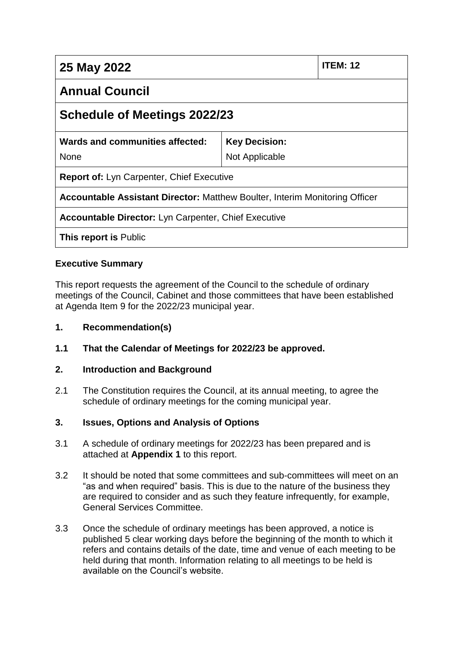| 25 May 2022                                                                        |                      | <b>ITEM: 12</b> |
|------------------------------------------------------------------------------------|----------------------|-----------------|
| <b>Annual Council</b>                                                              |                      |                 |
| Schedule of Meetings 2022/23                                                       |                      |                 |
| Wards and communities affected:                                                    | <b>Key Decision:</b> |                 |
| <b>None</b>                                                                        | Not Applicable       |                 |
| <b>Report of: Lyn Carpenter, Chief Executive</b>                                   |                      |                 |
| <b>Accountable Assistant Director: Matthew Boulter, Interim Monitoring Officer</b> |                      |                 |
| <b>Accountable Director:</b> Lyn Carpenter, Chief Executive                        |                      |                 |
| <b>This report is Public</b>                                                       |                      |                 |

# **Executive Summary**

This report requests the agreement of the Council to the schedule of ordinary meetings of the Council, Cabinet and those committees that have been established at Agenda Item 9 for the 2022/23 municipal year.

#### **1. Recommendation(s)**

**1.1 That the Calendar of Meetings for 2022/23 be approved.**

#### **2. Introduction and Background**

2.1 The Constitution requires the Council, at its annual meeting, to agree the schedule of ordinary meetings for the coming municipal year.

# **3. Issues, Options and Analysis of Options**

- 3.1 A schedule of ordinary meetings for 2022/23 has been prepared and is attached at **Appendix 1** to this report.
- 3.2 It should be noted that some committees and sub-committees will meet on an "as and when required" basis. This is due to the nature of the business they are required to consider and as such they feature infrequently, for example, General Services Committee.
- 3.3 Once the schedule of ordinary meetings has been approved, a notice is published 5 clear working days before the beginning of the month to which it refers and contains details of the date, time and venue of each meeting to be held during that month. Information relating to all meetings to be held is available on the Council's website.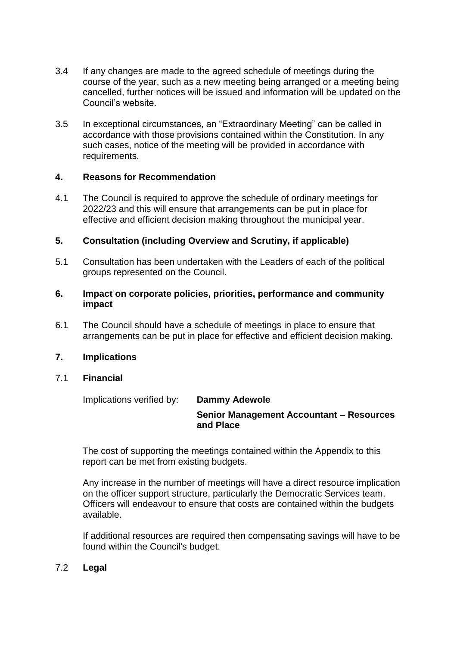- 3.4 If any changes are made to the agreed schedule of meetings during the course of the year, such as a new meeting being arranged or a meeting being cancelled, further notices will be issued and information will be updated on the Council's website.
- 3.5 In exceptional circumstances, an "Extraordinary Meeting" can be called in accordance with those provisions contained within the Constitution. In any such cases, notice of the meeting will be provided in accordance with requirements.

#### **4. Reasons for Recommendation**

4.1 The Council is required to approve the schedule of ordinary meetings for 2022/23 and this will ensure that arrangements can be put in place for effective and efficient decision making throughout the municipal year.

#### **5. Consultation (including Overview and Scrutiny, if applicable)**

- 5.1 Consultation has been undertaken with the Leaders of each of the political groups represented on the Council.
- **6. Impact on corporate policies, priorities, performance and community impact**
- 6.1 The Council should have a schedule of meetings in place to ensure that arrangements can be put in place for effective and efficient decision making.

#### **7. Implications**

#### 7.1 **Financial**

Implications verified by: **Dammy Adewole** 

# **Senior Management Accountant – Resources and Place**

The cost of supporting the meetings contained within the Appendix to this report can be met from existing budgets.

Any increase in the number of meetings will have a direct resource implication on the officer support structure, particularly the Democratic Services team. Officers will endeavour to ensure that costs are contained within the budgets available.

If additional resources are required then compensating savings will have to be found within the Council's budget.

#### 7.2 **Legal**